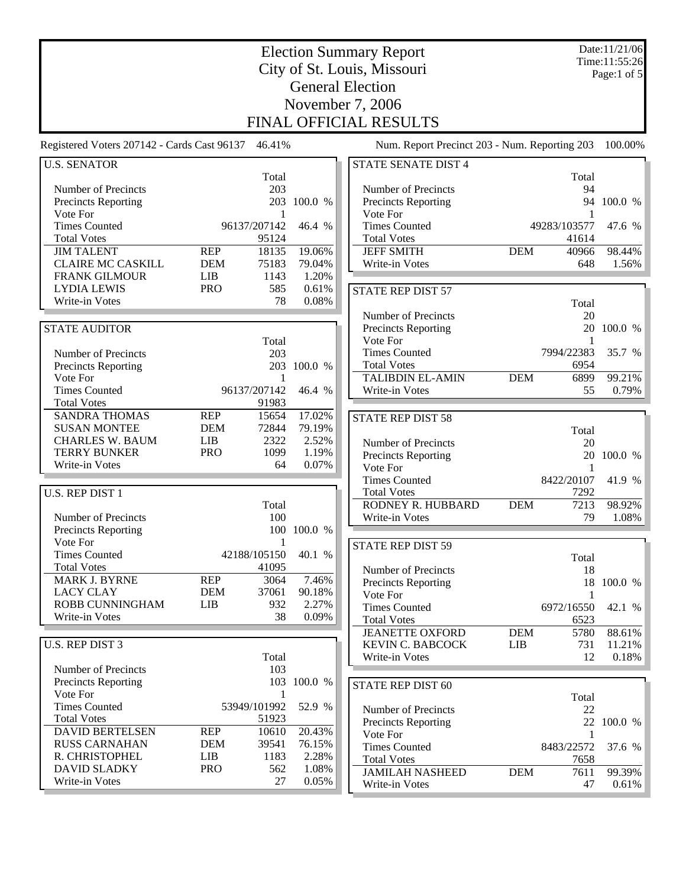| <b>Election Summary Report</b><br>City of St. Louis, Missouri |                          |                   |                  |                                               |              | Date:11/21/06<br>Time:11:55:26<br>Page:1 of 5 |                 |  |
|---------------------------------------------------------------|--------------------------|-------------------|------------------|-----------------------------------------------|--------------|-----------------------------------------------|-----------------|--|
| <b>General Election</b>                                       |                          |                   |                  |                                               |              |                                               |                 |  |
| November 7, 2006<br>FINAL OFFICIAL RESULTS                    |                          |                   |                  |                                               |              |                                               |                 |  |
| Registered Voters 207142 - Cards Cast 96137                   |                          | 46.41%            |                  | Num. Report Precinct 203 - Num. Reporting 203 |              |                                               | 100.00%         |  |
| <b>U.S. SENATOR</b>                                           |                          |                   |                  | <b>STATE SENATE DIST 4</b>                    |              |                                               |                 |  |
| Number of Precincts                                           |                          | Total<br>203      |                  | Number of Precincts                           |              | Total<br>94                                   |                 |  |
| Precincts Reporting                                           |                          | 203               | 100.0 %          | Precincts Reporting                           |              |                                               | 94 100.0 %      |  |
| Vote For<br><b>Times Counted</b>                              |                          | 1<br>96137/207142 | 46.4 %           | Vote For<br><b>Times Counted</b>              | 49283/103577 | 1                                             | 47.6 %          |  |
| <b>Total Votes</b>                                            |                          | 95124             |                  | <b>Total Votes</b>                            |              | 41614                                         |                 |  |
| <b>JIM TALENT</b>                                             | <b>REP</b>               | 18135             | 19.06%           | <b>JEFF SMITH</b>                             | <b>DEM</b>   | 40966                                         | 98.44%          |  |
| <b>CLAIRE MC CASKILL</b><br><b>FRANK GILMOUR</b>              | <b>DEM</b><br><b>LIB</b> | 75183<br>1143     | 79.04%<br>1.20%  | Write-in Votes                                |              | 648                                           | 1.56%           |  |
| <b>LYDIA LEWIS</b>                                            | <b>PRO</b>               | 585               | 0.61%            | <b>STATE REP DIST 57</b>                      |              |                                               |                 |  |
| Write-in Votes                                                |                          | 78                | 0.08%            |                                               |              | Total                                         |                 |  |
| <b>STATE AUDITOR</b>                                          |                          |                   |                  | Number of Precincts<br>Precincts Reporting    |              | 20                                            | 20 100.0 %      |  |
|                                                               |                          | Total             |                  | Vote For                                      |              | 1                                             |                 |  |
| Number of Precincts                                           |                          | 203               |                  | <b>Times Counted</b>                          |              | 7994/22383                                    | 35.7 %          |  |
| <b>Precincts Reporting</b><br>Vote For                        |                          | 1                 | 203 100.0 %      | <b>Total Votes</b><br><b>TALIBDIN EL-AMIN</b> | <b>DEM</b>   | 6954<br>6899                                  | 99.21%          |  |
| <b>Times Counted</b>                                          |                          | 96137/207142      | 46.4 %           | Write-in Votes                                |              | 55                                            | 0.79%           |  |
| <b>Total Votes</b>                                            |                          | 91983             |                  |                                               |              |                                               |                 |  |
| <b>SANDRA THOMAS</b><br><b>SUSAN MONTEE</b>                   | <b>REP</b><br><b>DEM</b> | 15654<br>72844    | 17.02%<br>79.19% | <b>STATE REP DIST 58</b>                      |              |                                               |                 |  |
| <b>CHARLES W. BAUM</b>                                        | <b>LIB</b>               | 2322              | 2.52%            | Number of Precincts                           |              | Total<br>20                                   |                 |  |
| <b>TERRY BUNKER</b>                                           | <b>PRO</b>               | 1099              | 1.19%            | Precincts Reporting                           |              | 20                                            | 100.0 %         |  |
| Write-in Votes                                                |                          | 64                | 0.07%            | Vote For                                      |              | 1                                             |                 |  |
| U.S. REP DIST 1                                               |                          |                   |                  | <b>Times Counted</b><br><b>Total Votes</b>    |              | 8422/20107<br>7292                            | 41.9 %          |  |
|                                                               |                          | Total             |                  | RODNEY R. HUBBARD                             | <b>DEM</b>   | 7213                                          | 98.92%          |  |
| Number of Precincts                                           |                          | 100               |                  | Write-in Votes                                |              | 79                                            | 1.08%           |  |
| <b>Precincts Reporting</b><br>Vote For                        |                          | 1                 | 100 100.0 %      |                                               |              |                                               |                 |  |
| <b>Times Counted</b>                                          |                          | 42188/105150      | 40.1 %           | <b>STATE REP DIST 59</b>                      |              | Total                                         |                 |  |
| <b>Total Votes</b>                                            |                          | 41095             |                  | Number of Precincts                           |              | 18                                            |                 |  |
| MARK J. BYRNE<br><b>LACY CLAY</b>                             | <b>REP</b><br><b>DEM</b> | 3064<br>37061     | 7.46%<br>90.18%  | Precincts Reporting                           |              | 18                                            | 100.0 %         |  |
| ROBB CUNNINGHAM                                               | <b>LIB</b>               | 932               | 2.27%            | Vote For<br><b>Times Counted</b>              |              | 1<br>6972/16550                               | 42.1 %          |  |
| Write-in Votes                                                |                          | 38                | 0.09%            | <b>Total Votes</b>                            |              | 6523                                          |                 |  |
|                                                               |                          |                   |                  | <b>JEANETTE OXFORD</b>                        | <b>DEM</b>   | 5780                                          | 88.61%          |  |
| U.S. REP DIST 3                                               |                          | Total             |                  | <b>KEVIN C. BABCOCK</b><br>Write-in Votes     | LIB          | 731<br>12                                     | 11.21%<br>0.18% |  |
| Number of Precincts                                           |                          | 103               |                  |                                               |              |                                               |                 |  |
| <b>Precincts Reporting</b>                                    |                          |                   | 103 100.0 %      | <b>STATE REP DIST 60</b>                      |              |                                               |                 |  |
| Vote For<br><b>Times Counted</b>                              |                          | 1<br>53949/101992 | 52.9 %           | Number of Precincts                           |              | Total<br>22                                   |                 |  |
| <b>Total Votes</b>                                            |                          | 51923             |                  | Precincts Reporting                           |              |                                               | 22 100.0 %      |  |
| <b>DAVID BERTELSEN</b>                                        | <b>REP</b>               | 10610             | 20.43%           | Vote For                                      |              | 1                                             |                 |  |
| <b>RUSS CARNAHAN</b><br>R. CHRISTOPHEL                        | <b>DEM</b><br>LIB        | 39541<br>1183     | 76.15%<br>2.28%  | <b>Times Counted</b><br><b>Total Votes</b>    |              | 8483/22572<br>7658                            | 37.6 %          |  |
| <b>DAVID SLADKY</b>                                           | <b>PRO</b>               | 562               | 1.08%            | <b>JAMILAH NASHEED</b>                        | <b>DEM</b>   | 7611                                          | 99.39%          |  |
| Write-in Votes                                                |                          | 27                | 0.05%            | Write-in Votes                                |              | 47                                            | 0.61%           |  |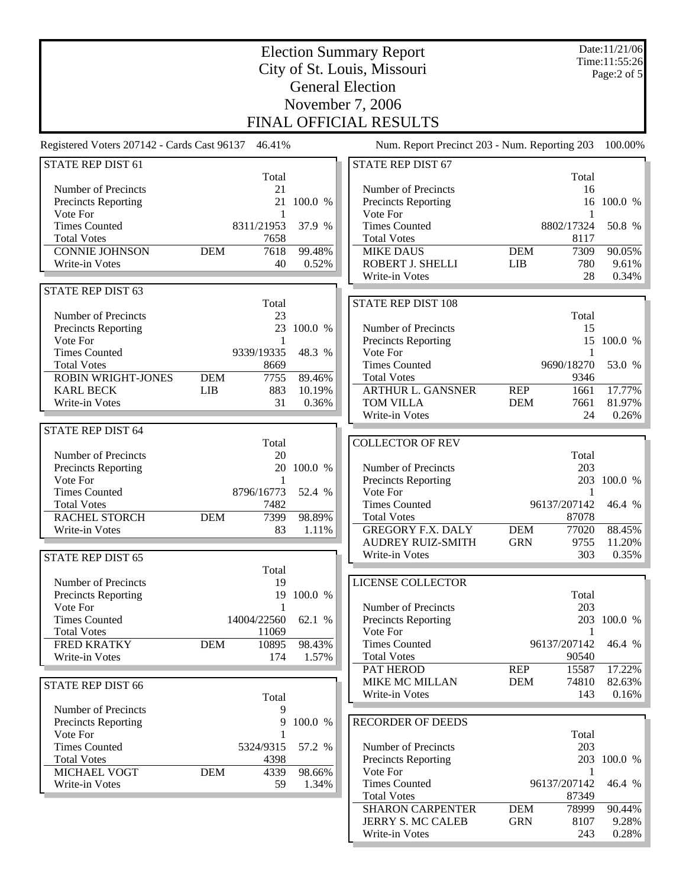|                                                               | Date:11/21/06 |                    |                 |                                                |                          |                                   |                  |  |
|---------------------------------------------------------------|---------------|--------------------|-----------------|------------------------------------------------|--------------------------|-----------------------------------|------------------|--|
| <b>Election Summary Report</b><br>City of St. Louis, Missouri |               |                    |                 |                                                |                          | Time:11:55:26<br>Page: $2$ of $5$ |                  |  |
| <b>General Election</b>                                       |               |                    |                 |                                                |                          |                                   |                  |  |
| November 7, 2006                                              |               |                    |                 |                                                |                          |                                   |                  |  |
| FINAL OFFICIAL RESULTS                                        |               |                    |                 |                                                |                          |                                   |                  |  |
| Registered Voters 207142 - Cards Cast 96137                   |               | 46.41%             |                 | Num. Report Precinct 203 - Num. Reporting 203  |                          |                                   | 100.00%          |  |
| STATE REP DIST 61                                             |               |                    |                 | <b>STATE REP DIST 67</b>                       |                          |                                   |                  |  |
|                                                               |               | Total              |                 |                                                |                          | Total                             |                  |  |
| Number of Precincts                                           |               | 21<br>21           | 100.0 %         | Number of Precincts                            |                          | 16<br>16                          | 100.0 %          |  |
| Precincts Reporting<br>Vote For                               |               | 1                  |                 | <b>Precincts Reporting</b><br>Vote For         |                          | 1                                 |                  |  |
| <b>Times Counted</b>                                          |               | 8311/21953         | 37.9 %          | <b>Times Counted</b>                           |                          | 8802/17324                        | 50.8 %           |  |
| <b>Total Votes</b>                                            |               | 7658               |                 | <b>Total Votes</b>                             |                          | 8117                              |                  |  |
| <b>CONNIE JOHNSON</b>                                         | <b>DEM</b>    | 7618<br>40         | 99.48%          | <b>MIKE DAUS</b><br>ROBERT J. SHELLI           | <b>DEM</b><br><b>LIB</b> | 7309<br>780                       | 90.05%<br>9.61%  |  |
| Write-in Votes                                                |               |                    | 0.52%           | Write-in Votes                                 |                          | 28                                | 0.34%            |  |
| STATE REP DIST 63                                             |               |                    |                 |                                                |                          |                                   |                  |  |
|                                                               |               | Total              |                 | <b>STATE REP DIST 108</b>                      |                          |                                   |                  |  |
| Number of Precincts                                           |               | 23                 |                 |                                                |                          | Total                             |                  |  |
| Precincts Reporting<br>Vote For                               |               | 23<br>$\mathbf{1}$ | 100.0 %         | Number of Precincts<br>Precincts Reporting     |                          | 15<br>15                          | 100.0 %          |  |
| <b>Times Counted</b>                                          |               | 9339/19335         | 48.3 %          | Vote For                                       |                          | 1                                 |                  |  |
| <b>Total Votes</b>                                            |               | 8669               |                 | <b>Times Counted</b>                           |                          | 9690/18270                        | 53.0 %           |  |
| <b>ROBIN WRIGHT-JONES</b>                                     | <b>DEM</b>    | 7755               | 89.46%          | <b>Total Votes</b>                             |                          | 9346                              |                  |  |
| <b>KARL BECK</b><br>Write-in Votes                            | <b>LIB</b>    | 883<br>31          | 10.19%<br>0.36% | <b>ARTHUR L. GANSNER</b><br><b>TOM VILLA</b>   | <b>REP</b><br><b>DEM</b> | 1661<br>7661                      | 17.77%<br>81.97% |  |
|                                                               |               |                    |                 | Write-in Votes                                 |                          | 24                                | 0.26%            |  |
| <b>STATE REP DIST 64</b>                                      |               |                    |                 |                                                |                          |                                   |                  |  |
|                                                               |               | Total              |                 | <b>COLLECTOR OF REV</b>                        |                          |                                   |                  |  |
| Number of Precincts                                           |               | 20                 | 100.0 %         | Number of Precincts                            |                          | Total<br>203                      |                  |  |
| Precincts Reporting<br>Vote For                               |               | 20<br>1            |                 | Precincts Reporting                            |                          |                                   | 203 100.0 %      |  |
| <b>Times Counted</b>                                          |               | 8796/16773         | 52.4 %          | Vote For                                       |                          | -1                                |                  |  |
| <b>Total Votes</b>                                            |               | 7482               |                 | <b>Times Counted</b>                           |                          | 96137/207142                      | 46.4 %           |  |
| <b>RACHEL STORCH</b><br>Write-in Votes                        | <b>DEM</b>    | 7399<br>83         | 98.89%<br>1.11% | <b>Total Votes</b><br><b>GREGORY F.X. DALY</b> | <b>DEM</b>               | 87078<br>77020                    | 88.45%           |  |
|                                                               |               |                    |                 | <b>AUDREY RUIZ-SMITH</b>                       | <b>GRN</b>               | 9755                              | 11.20%           |  |
| STATE REP DIST 65                                             |               |                    |                 | Write-in Votes                                 |                          | 303                               | 0.35%            |  |
|                                                               |               | Total              |                 |                                                |                          |                                   |                  |  |
| Number of Precincts                                           |               | 19                 |                 | LICENSE COLLECTOR                              |                          |                                   |                  |  |
| Precincts Reporting<br>Vote For                               |               |                    | 19 100.0 %      | Number of Precincts                            |                          | Total<br>203                      |                  |  |
| <b>Times Counted</b>                                          |               | 14004/22560        | 62.1 %          | <b>Precincts Reporting</b>                     |                          |                                   | 203 100.0 %      |  |
| <b>Total Votes</b>                                            |               | 11069              |                 | Vote For                                       |                          |                                   |                  |  |
| <b>FRED KRATKY</b>                                            | <b>DEM</b>    | 10895              | 98.43%          | <b>Times Counted</b>                           |                          | 96137/207142                      | 46.4 %           |  |
| Write-in Votes                                                |               | 174                | 1.57%           | <b>Total Votes</b><br>PAT HEROD                | <b>REP</b>               | 90540<br>15587                    | 17.22%           |  |
| <b>STATE REP DIST 66</b>                                      |               |                    |                 | <b>MIKE MC MILLAN</b>                          | <b>DEM</b>               | 74810                             | 82.63%           |  |
|                                                               |               | Total              |                 | Write-in Votes                                 |                          | 143                               | 0.16%            |  |
| Number of Precincts                                           |               | 9                  |                 |                                                |                          |                                   |                  |  |
| Precincts Reporting                                           |               | 9                  | 100.0 %         | <b>RECORDER OF DEEDS</b>                       |                          |                                   |                  |  |
| Vote For<br><b>Times Counted</b>                              |               | 5324/9315          | 57.2 %          | Number of Precincts                            |                          | Total<br>203                      |                  |  |
| <b>Total Votes</b>                                            |               | 4398               |                 | Precincts Reporting                            |                          |                                   | 203 100.0 %      |  |
| MICHAEL VOGT                                                  | <b>DEM</b>    | 4339               | 98.66%          | Vote For                                       |                          | 1                                 |                  |  |
| Write-in Votes                                                |               | 59                 | 1.34%           | <b>Times Counted</b><br><b>Total Votes</b>     |                          | 96137/207142<br>87349             | 46.4 %           |  |
|                                                               |               |                    |                 | <b>SHARON CARPENTER</b>                        | <b>DEM</b>               | 78999                             | 90.44%           |  |
|                                                               |               |                    |                 | JERRY S. MC CALEB                              | <b>GRN</b>               | 8107                              | 9.28%            |  |
|                                                               |               |                    |                 | Write-in Votes                                 |                          | 243                               | 0.28%            |  |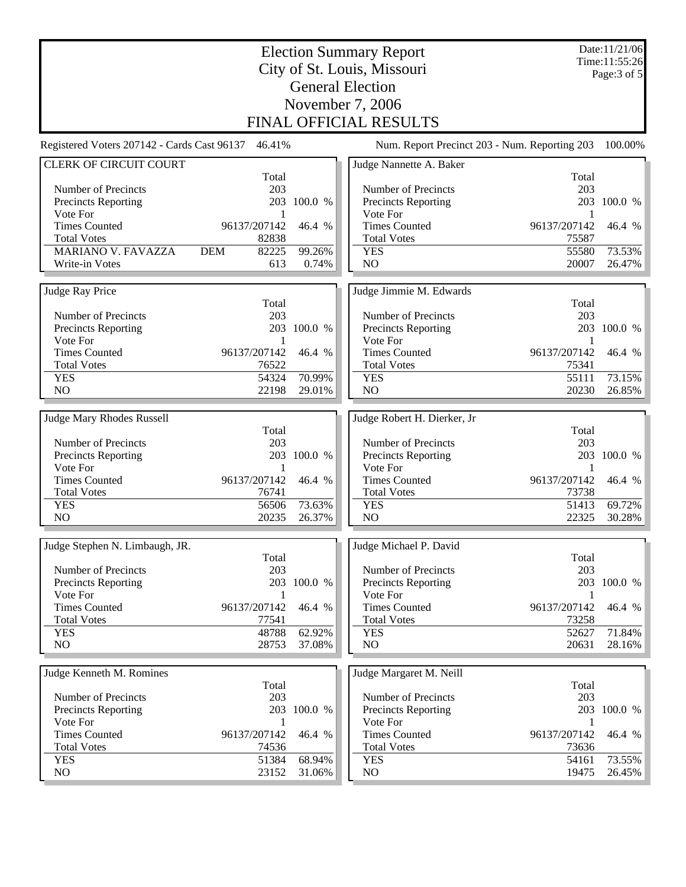|                                             | Date:11/21/06<br>Time:11:55:26<br>Page: 3 of 5 |                  |                                               |                   |                  |  |  |  |
|---------------------------------------------|------------------------------------------------|------------------|-----------------------------------------------|-------------------|------------------|--|--|--|
| <b>General Election</b>                     |                                                |                  |                                               |                   |                  |  |  |  |
| November 7, 2006<br>FINAL OFFICIAL RESULTS  |                                                |                  |                                               |                   |                  |  |  |  |
| Registered Voters 207142 - Cards Cast 96137 | 46.41%                                         |                  | Num. Report Precinct 203 - Num. Reporting 203 |                   | 100.00%          |  |  |  |
| <b>CLERK OF CIRCUIT COURT</b>               |                                                |                  | Judge Nannette A. Baker                       |                   |                  |  |  |  |
| Number of Precincts                         | Total<br>203                                   |                  | Number of Precincts                           | Total<br>203      |                  |  |  |  |
| Precincts Reporting                         | 203                                            | 100.0 %          | Precincts Reporting                           |                   | 203 100.0 %      |  |  |  |
| Vote For                                    | 1                                              |                  | Vote For                                      | 1                 |                  |  |  |  |
| <b>Times Counted</b>                        | 96137/207142                                   | 46.4 %           | <b>Times Counted</b>                          | 96137/207142      | 46.4 %           |  |  |  |
| <b>Total Votes</b>                          | 82838                                          |                  | <b>Total Votes</b>                            | 75587             |                  |  |  |  |
| <b>MARIANO V. FAVAZZA</b><br>Write-in Votes | <b>DEM</b><br>82225<br>613                     | 99.26%<br>0.74%  | <b>YES</b><br>N <sub>O</sub>                  | 55580<br>20007    | 73.53%<br>26.47% |  |  |  |
|                                             |                                                |                  |                                               |                   |                  |  |  |  |
| Judge Ray Price                             |                                                |                  | Judge Jimmie M. Edwards                       |                   |                  |  |  |  |
|                                             | Total                                          |                  |                                               | Total             |                  |  |  |  |
| Number of Precincts                         | 203                                            |                  | Number of Precincts                           | 203               |                  |  |  |  |
| Precincts Reporting<br>Vote For             | 1                                              | 203 100.0 %      | Precincts Reporting<br>Vote For               | 1                 | 203 100.0 %      |  |  |  |
| <b>Times Counted</b>                        | 96137/207142                                   | 46.4 %           | <b>Times Counted</b>                          | 96137/207142      | 46.4 %           |  |  |  |
| <b>Total Votes</b>                          | 76522                                          |                  | <b>Total Votes</b>                            | 75341             |                  |  |  |  |
| <b>YES</b>                                  | 54324                                          | 70.99%           | <b>YES</b>                                    | 55111             | 73.15%           |  |  |  |
| N <sub>O</sub>                              | 22198                                          | 29.01%           | NO                                            | 20230             | 26.85%           |  |  |  |
|                                             |                                                |                  |                                               |                   |                  |  |  |  |
| <b>Judge Mary Rhodes Russell</b>            | Total                                          |                  | Judge Robert H. Dierker, Jr                   | Total             |                  |  |  |  |
| Number of Precincts                         | 203                                            |                  | Number of Precincts                           | 203               |                  |  |  |  |
| Precincts Reporting                         | 203                                            | 100.0 %          | <b>Precincts Reporting</b>                    |                   | 203 100.0 %      |  |  |  |
| Vote For                                    | 1                                              |                  | Vote For                                      | 1                 |                  |  |  |  |
| <b>Times Counted</b>                        | 96137/207142                                   | 46.4 %           | <b>Times Counted</b>                          | 96137/207142      | 46.4 %           |  |  |  |
| <b>Total Votes</b>                          | 76741                                          |                  | <b>Total Votes</b>                            | 73738             |                  |  |  |  |
| <b>YES</b><br>N <sub>O</sub>                | 56506<br>20235                                 | 73.63%           | <b>YES</b><br>NO                              | 51413<br>22325    | 69.72%           |  |  |  |
|                                             |                                                | 26.37%           |                                               |                   | 30.28%           |  |  |  |
| Judge Stephen N. Limbaugh, JR.              |                                                |                  | Judge Michael P. David                        |                   |                  |  |  |  |
|                                             | Total                                          |                  |                                               | Total             |                  |  |  |  |
| Number of Precincts                         | 203                                            |                  | Number of Precincts                           | 203               |                  |  |  |  |
| Precincts Reporting                         |                                                | 203 100.0 %      | Precincts Reporting                           |                   | 203 100.0 %      |  |  |  |
| Vote For<br><b>Times Counted</b>            | 1<br>96137/207142                              | 46.4 %           | Vote For<br><b>Times Counted</b>              | 1<br>96137/207142 | 46.4 %           |  |  |  |
| <b>Total Votes</b>                          | 77541                                          |                  | <b>Total Votes</b>                            | 73258             |                  |  |  |  |
| <b>YES</b>                                  | 48788                                          | 62.92%           | <b>YES</b>                                    | 52627             | 71.84%           |  |  |  |
| NO                                          | 28753                                          | 37.08%           | NO                                            | 20631             | 28.16%           |  |  |  |
|                                             |                                                |                  |                                               |                   |                  |  |  |  |
| Judge Kenneth M. Romines                    |                                                |                  | Judge Margaret M. Neill                       |                   |                  |  |  |  |
| Number of Precincts                         | Total<br>203                                   |                  | Number of Precincts                           | Total<br>203      |                  |  |  |  |
| <b>Precincts Reporting</b>                  |                                                | 203 100.0 %      | Precincts Reporting                           |                   | 203 100.0 %      |  |  |  |
| Vote For                                    | 1                                              |                  | Vote For                                      | 1                 |                  |  |  |  |
| <b>Times Counted</b>                        | 96137/207142                                   | 46.4 %           | <b>Times Counted</b>                          | 96137/207142      | 46.4 %           |  |  |  |
| <b>Total Votes</b>                          | 74536                                          |                  | <b>Total Votes</b>                            | 73636             |                  |  |  |  |
| <b>YES</b><br>NO                            | 51384<br>23152                                 | 68.94%<br>31.06% | <b>YES</b><br>NO                              | 54161<br>19475    | 73.55%<br>26.45% |  |  |  |
|                                             |                                                |                  |                                               |                   |                  |  |  |  |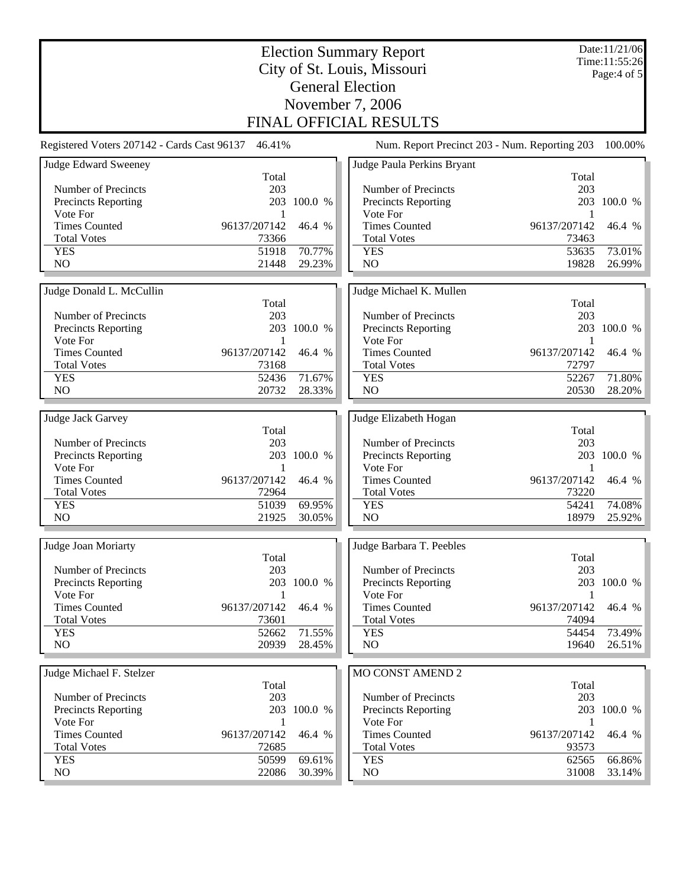|                                                        | Date:11/21/06<br>Time:11:55:26<br>Page: $4$ of $5$ |                  |                                               |                       |                  |  |  |  |  |
|--------------------------------------------------------|----------------------------------------------------|------------------|-----------------------------------------------|-----------------------|------------------|--|--|--|--|
| City of St. Louis, Missouri<br><b>General Election</b> |                                                    |                  |                                               |                       |                  |  |  |  |  |
| November 7, 2006                                       |                                                    |                  |                                               |                       |                  |  |  |  |  |
| FINAL OFFICIAL RESULTS                                 |                                                    |                  |                                               |                       |                  |  |  |  |  |
| Registered Voters 207142 - Cards Cast 96137            | 46.41%                                             |                  | Num. Report Precinct 203 - Num. Reporting 203 |                       | 100.00%          |  |  |  |  |
| <b>Judge Edward Sweeney</b>                            | Total                                              |                  | Judge Paula Perkins Bryant                    | Total                 |                  |  |  |  |  |
| Number of Precincts                                    | 203                                                |                  | Number of Precincts                           | 203                   |                  |  |  |  |  |
| Precincts Reporting                                    | 203                                                | 100.0 %          | Precincts Reporting                           |                       | 203 100.0 %      |  |  |  |  |
| Vote For                                               | 1                                                  |                  | Vote For                                      | 1                     |                  |  |  |  |  |
| <b>Times Counted</b>                                   | 96137/207142                                       | 46.4 %           | <b>Times Counted</b>                          | 96137/207142          | 46.4 %           |  |  |  |  |
| <b>Total Votes</b>                                     | 73366                                              |                  | <b>Total Votes</b>                            | 73463                 |                  |  |  |  |  |
| <b>YES</b><br>N <sub>O</sub>                           | 51918<br>21448                                     | 70.77%<br>29.23% | <b>YES</b><br>N <sub>O</sub>                  | 53635<br>19828        | 73.01%<br>26.99% |  |  |  |  |
|                                                        |                                                    |                  |                                               |                       |                  |  |  |  |  |
| Judge Donald L. McCullin                               |                                                    |                  | Judge Michael K. Mullen                       |                       |                  |  |  |  |  |
|                                                        | Total                                              |                  |                                               | Total                 |                  |  |  |  |  |
| Number of Precincts                                    | 203                                                |                  | Number of Precincts                           | 203                   |                  |  |  |  |  |
| <b>Precincts Reporting</b>                             | 203                                                | 100.0 %          | <b>Precincts Reporting</b>                    |                       | 203 100.0 %      |  |  |  |  |
| Vote For<br><b>Times Counted</b>                       | 1                                                  |                  | Vote For<br><b>Times Counted</b>              | $\mathbf{1}$          |                  |  |  |  |  |
| <b>Total Votes</b>                                     | 96137/207142<br>73168                              | 46.4 %           | <b>Total Votes</b>                            | 96137/207142<br>72797 | 46.4 %           |  |  |  |  |
| <b>YES</b>                                             | 52436                                              | 71.67%           | <b>YES</b>                                    | 52267                 | 71.80%           |  |  |  |  |
| N <sub>O</sub>                                         | 20732                                              | 28.33%           | N <sub>O</sub>                                | 20530                 | 28.20%           |  |  |  |  |
|                                                        |                                                    |                  |                                               |                       |                  |  |  |  |  |
| Judge Jack Garvey                                      |                                                    |                  | Judge Elizabeth Hogan                         |                       |                  |  |  |  |  |
|                                                        | Total                                              |                  |                                               | Total                 |                  |  |  |  |  |
| Number of Precincts                                    | 203                                                |                  | Number of Precincts                           | 203                   |                  |  |  |  |  |
| Precincts Reporting<br>Vote For                        | 203<br>1                                           | 100.0 %          | Precincts Reporting<br>Vote For               | 1                     | 203 100.0 %      |  |  |  |  |
| <b>Times Counted</b>                                   | 96137/207142                                       | 46.4 %           | <b>Times Counted</b>                          | 96137/207142          | 46.4 %           |  |  |  |  |
| <b>Total Votes</b>                                     | 72964                                              |                  | <b>Total Votes</b>                            | 73220                 |                  |  |  |  |  |
| <b>YES</b>                                             | 51039                                              | 69.95%           | <b>YES</b>                                    | 54241                 | 74.08%           |  |  |  |  |
| N <sub>O</sub>                                         | 21925                                              | 30.05%           | NO                                            | 18979                 | 25.92%           |  |  |  |  |
|                                                        |                                                    |                  |                                               |                       |                  |  |  |  |  |
| Judge Joan Moriarty                                    |                                                    |                  | Judge Barbara T. Peebles                      |                       |                  |  |  |  |  |
|                                                        | Total                                              |                  |                                               | Total                 |                  |  |  |  |  |
| Number of Precincts<br>Precincts Reporting             | 203                                                | 203 100.0 %      | Number of Precincts<br>Precincts Reporting    | 203                   | 203 100.0 %      |  |  |  |  |
| Vote For                                               | 1                                                  |                  | Vote For                                      | -1                    |                  |  |  |  |  |
| <b>Times Counted</b>                                   | 96137/207142                                       | 46.4 %           | <b>Times Counted</b>                          | 96137/207142          | 46.4 %           |  |  |  |  |
| <b>Total Votes</b>                                     | 73601                                              |                  | <b>Total Votes</b>                            | 74094                 |                  |  |  |  |  |
| <b>YES</b>                                             | 52662                                              | 71.55%           | <b>YES</b>                                    | 54454                 | 73.49%           |  |  |  |  |
| NO                                                     | 20939                                              | 28.45%           | NO                                            | 19640                 | 26.51%           |  |  |  |  |
|                                                        |                                                    |                  |                                               |                       |                  |  |  |  |  |
| Judge Michael F. Stelzer                               | Total                                              |                  | MO CONST AMEND 2                              | Total                 |                  |  |  |  |  |
| Number of Precincts                                    | 203                                                |                  | Number of Precincts                           | 203                   |                  |  |  |  |  |
| Precincts Reporting                                    |                                                    | 203 100.0 %      | <b>Precincts Reporting</b>                    |                       | 203 100.0 %      |  |  |  |  |
| Vote For                                               | 1                                                  |                  | Vote For                                      | 1                     |                  |  |  |  |  |
| <b>Times Counted</b>                                   | 96137/207142                                       | 46.4 %           | <b>Times Counted</b>                          | 96137/207142          | 46.4 %           |  |  |  |  |
| <b>Total Votes</b>                                     | 72685                                              |                  | <b>Total Votes</b>                            | 93573                 |                  |  |  |  |  |
| <b>YES</b>                                             | 50599                                              | 69.61%           | <b>YES</b>                                    | 62565                 | 66.86%           |  |  |  |  |
| NO.                                                    | 22086                                              | 30.39%           | NO.                                           | 31008                 | 33.14%           |  |  |  |  |